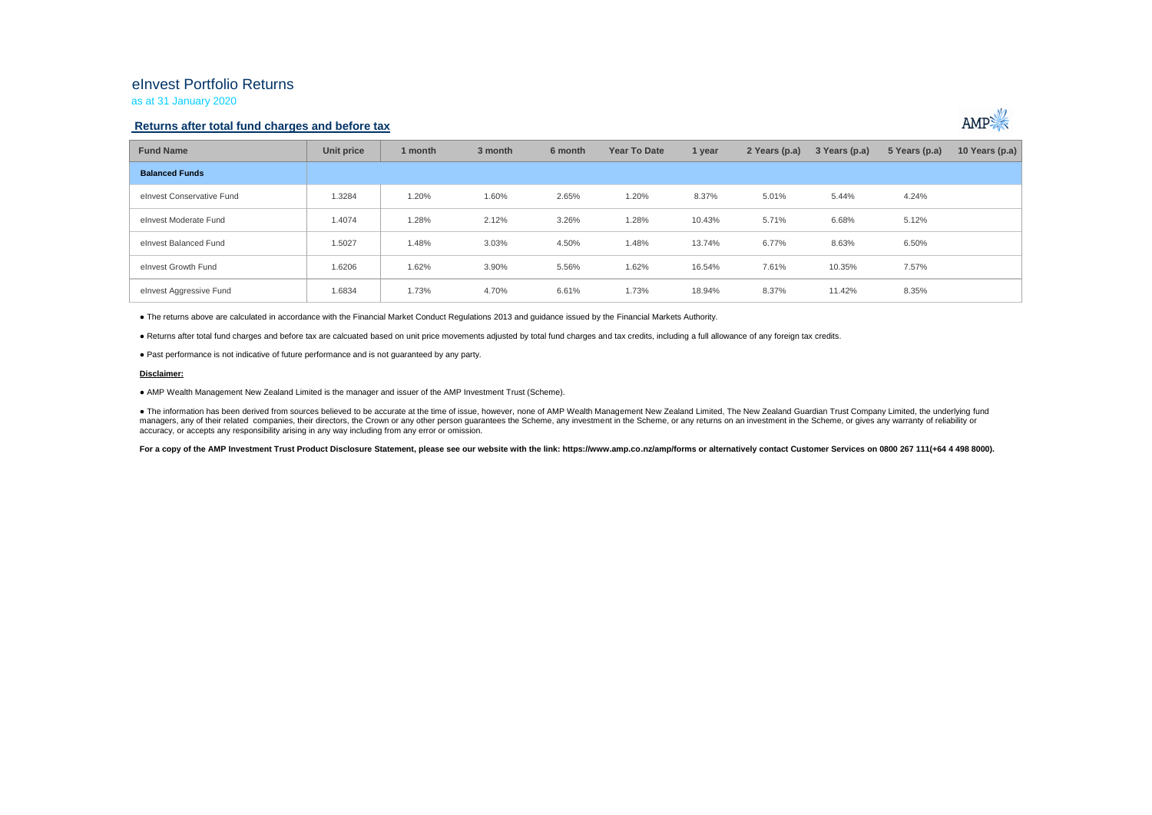## eInvest Portfolio Returns

as at 31 January 2020

### **Returns after total fund charges and before tax**



| <b>Fund Name</b>          | Unit price | 1 month | 3 month | 6 month | Year To Date | 1 year | 2 Years (p.a) | 3 Years (p.a) | 5 Years (p.a) | 10 Years (p.a) $ $ |
|---------------------------|------------|---------|---------|---------|--------------|--------|---------------|---------------|---------------|--------------------|
| <b>Balanced Funds</b>     |            |         |         |         |              |        |               |               |               |                    |
| elnvest Conservative Fund | 1.3284     | 1.20%   | 1.60%   | 2.65%   | 1.20%        | 8.37%  | 5.01%         | 5.44%         | 4.24%         |                    |
| elnvest Moderate Fund     | 1.4074     | 1.28%   | 2.12%   | 3.26%   | 1.28%        | 10.43% | 5.71%         | 6.68%         | 5.12%         |                    |
| elnvest Balanced Fund     | 1.5027     | 1.48%   | 3.03%   | 4.50%   | 1.48%        | 13.74% | 6.77%         | 8.63%         | 6.50%         |                    |
| elnvest Growth Fund       | 1.6206     | 1.62%   | 3.90%   | 5.56%   | 1.62%        | 16.54% | 7.61%         | 10.35%        | 7.57%         |                    |
| elnvest Aggressive Fund   | 1.6834     | 1.73%   | 4.70%   | 6.61%   | 1.73%        | 18.94% | 8.37%         | 11.42%        | 8.35%         |                    |

● The returns above are calculated in accordance with the Financial Market Conduct Regulations 2013 and guidance issued by the Financial Markets Authority.

● Returns after total fund charges and before tax are calcuated based on unit price movements adjusted by total fund charges and tax credits, including a full allowance of any foreign tax credits.

● Past performance is not indicative of future performance and is not guaranteed by any party.

#### **Disclaimer:**

● AMP Wealth Management New Zealand Limited is the manager and issuer of the AMP Investment Trust (Scheme).

● The information has been derived from sources believed to be accurate at the time of issue, however, none of AMP Wealth Management New Zealand Limited, The New Zealand Guardian Trust Company Limited, the underlying fund managers, any of their related companies, their directors, the Crown or any other person quarantees the Scheme, any investment in the Scheme, or any returns on an investment in the Scheme, or qives any warranty of reliabil accuracy, or accepts any responsibility arising in any way including from any error or omission.

For a copy of the AMP Investment Trust Product Disclosure Statement, please see our website with the link: https://www.amp.co.nz/amp/forms or alternatively contact Customer Services on 0800 267 111(+64 4 498 8000).